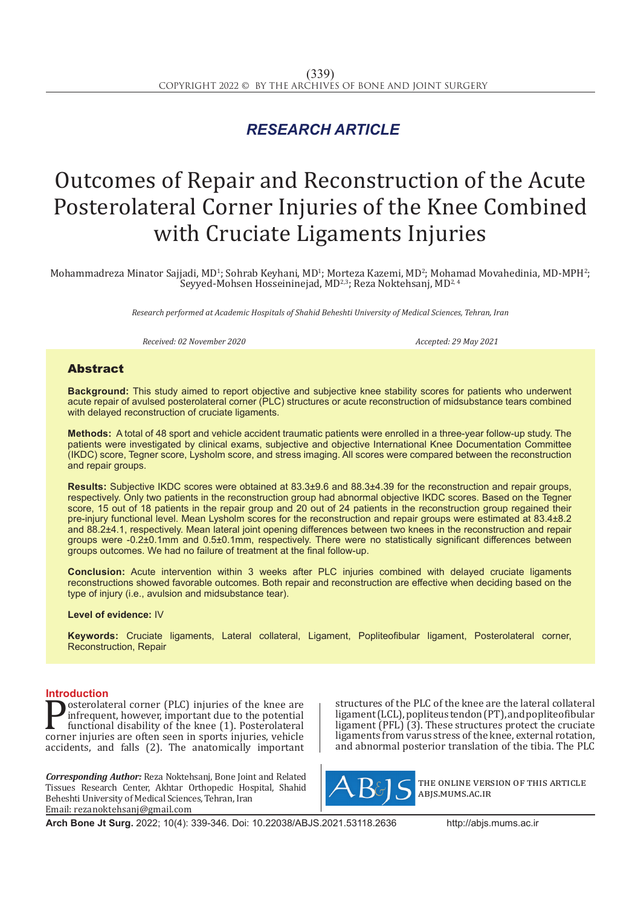## *RESEARCH ARTICLE*

# Outcomes of Repair and Reconstruction of the Acute Posterolateral Corner Injuries of the Knee Combined with Cruciate Ligaments Injuries

Mohammadreza Minator Sajjadi, MD½ Sohrab Keyhani, MD½ Morteza Kazemi, MD²; Mohamad Movahedinia, MD-MPH²;<br>. Seyyed-Mohsen Hosseininejad, MD2,3; Reza Noktehsanj, MD2, 4

*Research performed at Academic Hospitals of Shahid Beheshti University of Medical Sciences, Tehran, Iran*

*Received: 02 November 2020 Accepted: 29 May 2021*

### Abstract

**Background:** This study aimed to report objective and subjective knee stability scores for patients who underwent acute repair of avulsed posterolateral corner (PLC) structures or acute reconstruction of midsubstance tears combined with delayed reconstruction of cruciate ligaments.

**Methods:** A total of 48 sport and vehicle accident traumatic patients were enrolled in a three-year follow-up study. The patients were investigated by clinical exams, subjective and objective International Knee Documentation Committee (IKDC) score, Tegner score, Lysholm score, and stress imaging. All scores were compared between the reconstruction and repair groups.

**Results:** Subjective IKDC scores were obtained at 83.3±9.6 and 88.3±4.39 for the reconstruction and repair groups, respectively. Only two patients in the reconstruction group had abnormal objective IKDC scores. Based on the Tegner score, 15 out of 18 patients in the repair group and 20 out of 24 patients in the reconstruction group regained their pre-injury functional level. Mean Lysholm scores for the reconstruction and repair groups were estimated at 83.4±8.2 and 88.2±4.1, respectively. Mean lateral joint opening differences between two knees in the reconstruction and repair groups were -0.2±0.1mm and 0.5±0.1mm, respectively. There were no statistically significant differences between groups outcomes. We had no failure of treatment at the final follow-up.

**Conclusion:** Acute intervention within 3 weeks after PLC injuries combined with delayed cruciate ligaments reconstructions showed favorable outcomes. Both repair and reconstruction are effective when deciding based on the type of injury (i.e., avulsion and midsubstance tear).

#### **Level of evidence:** IV

**Keywords:** Cruciate ligaments, Lateral collateral, Ligament, Popliteofibular ligament, Posterolateral corner, Reconstruction, Repair

**Introduction**<br> **T** osterolateral corner (PLC) injuries of the knee are **Posterolateral corner (PLC) injuries of the knee are** infrequent, however, important due to the potential functional disability of the knee (1). Posterolateral corner injuries are often seen in sports injuries, vehicle ac infrequent, however, important due to the potential functional disability of the knee (1). Posterolateral accidents, and falls (2). The anatomically important

*Corresponding Author:* Reza Noktehsanj, Bone Joint and Related Tissues Research Center, Akhtar Orthopedic Hospital, Shahid Beheshti University of Medical Sciences, Tehran, Iran Email: rezanoktehsanj@gmail.com

structures of the PLC of the knee are the lateral collateral ligament (LCL), popliteus tendon (PT), and popliteofibular ligament (PFL) (3). These structures protect the cruciate ligaments from varus stress of the knee, external rotation, and abnormal posterior translation of the tibia. The PLC



the online version of this article abjs.mums.ac.ir

**Arch Bone Jt Surg.** 2022; 10(4): 339-346. Doi: 10.22038/ABJS.2021.53118.2636 http://abjs.mums.ac.ir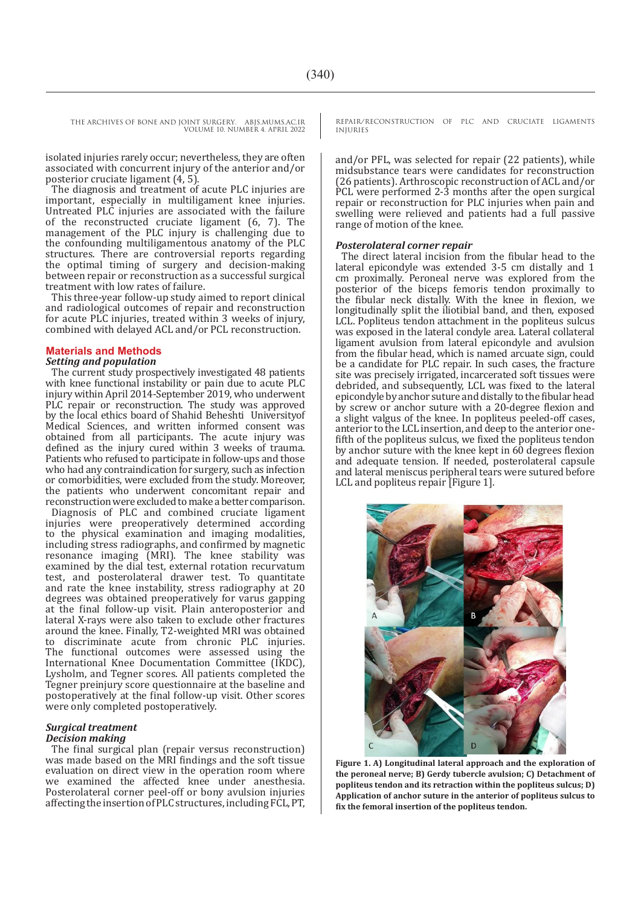isolated injuries rarely occur; nevertheless, they are often associated with concurrent injury of the anterior and/or posterior cruciate ligament (4, 5).

The diagnosis and treatment of acute PLC injuries are important, especially in multiligament knee injuries. Untreated PLC injuries are associated with the failure of the reconstructed cruciate ligament (6, 7). The management of the PLC injury is challenging due to the confounding multiligamentous anatomy of the PLC structures. There are controversial reports regarding the optimal timing of surgery and decision-making between repair or reconstruction as a successful surgical treatment with low rates of failure.

This three-year follow-up study aimed to report clinical and radiological outcomes of repair and reconstruction for acute PLC injuries, treated within 3 weeks of injury, combined with delayed ACL and/or PCL reconstruction.

#### **Materials and Methods**

#### *Setting and population*

The current study prospectively investigated 48 patients with knee functional instability or pain due to acute PLC injury within April 2014-September 2019, who underwent PLC repair or reconstruction. The study was approved by the local ethics board of Shahid Beheshti Universityof Medical Sciences, and written informed consent was obtained from all participants. The acute injury was defined as the injury cured within 3 weeks of trauma. Patients who refused to participate in follow-ups and those who had any contraindication for surgery, such as infection or comorbidities, were excluded from the study. Moreover, the patients who underwent concomitant repair and reconstruction were excluded to make a better comparison. Diagnosis of PLC and combined cruciate ligament injuries were preoperatively determined according to the physical examination and imaging modalities, including stress radiographs, and confirmed by magnetic resonance imaging (MRI). The knee stability was examined by the dial test, external rotation recurvatum test, and posterolateral drawer test. To quantitate and rate the knee instability, stress radiography at 20 degrees was obtained preoperatively for varus gapping at the final follow-up visit. Plain anteroposterior and lateral X-rays were also taken to exclude other fractures around the knee. Finally, T2-weighted MRI was obtained to discriminate acute from chronic PLC injuries. The functional outcomes were assessed using the International Knee Documentation Committee (IKDC), Lysholm, and Tegner scores. All patients completed the Tegner preinjury score questionnaire at the baseline and postoperatively at the final follow-up visit. Other scores were only completed postoperatively.

#### *Surgical treatment Decision making*

The final surgical plan (repair versus reconstruction) was made based on the MRI findings and the soft tissue evaluation on direct view in the operation room where we examined the affected knee under anesthesia. Posterolateral corner peel-off or bony avulsion injuries affecting the insertion of PLC structures, including FCL, PT,

REPAIR/RECONSTRUCTION OF PLC AND CRUCIATE LIGAMENTS INJURIES

and/or PFL, was selected for repair (22 patients), while midsubstance tears were candidates for reconstruction (26 patients). Arthroscopic reconstruction of ACL and/or PCL were performed 2-3 months after the open surgical repair or reconstruction for PLC injuries when pain and swelling were relieved and patients had a full passive range of motion of the knee.

#### *Posterolateral corner repair*

The direct lateral incision from the fibular head to the lateral epicondyle was extended 3-5 cm distally and 1 cm proximally. Peroneal nerve was explored from the posterior of the biceps femoris tendon proximally to the fibular neck distally. With the knee in flexion, we longitudinally split the iliotibial band, and then, exposed LCL. Popliteus tendon attachment in the popliteus sulcus was exposed in the lateral condyle area. Lateral collateral ligament avulsion from lateral epicondyle and avulsion from the fibular head, which is named arcuate sign, could be a candidate for PLC repair. In such cases, the fracture site was precisely irrigated, incarcerated soft tissues were debrided, and subsequently, LCL was fixed to the lateral epicondyle by anchor suture and distally to the fibular head by screw or anchor suture with a 20-degree flexion and a slight valgus of the knee. In popliteus peeled-off cases, anterior to the LCL insertion, and deep to the anterior onefifth of the popliteus sulcus, we fixed the popliteus tendon by anchor suture with the knee kept in 60 degrees flexion and adequate tension. If needed, posterolateral capsule and lateral meniscus peripheral tears were sutured before LCL and popliteus repair [Figure 1].



**Figure 1. A) Longitudinal lateral approach and the exploration of the peroneal nerve; B) Gerdy tubercle avulsion; C) Detachment of popliteus tendon and its retraction within the popliteus sulcus; D) Application of anchor suture in the anterior of popliteus sulcus to fix the femoral insertion of the popliteus tendon.**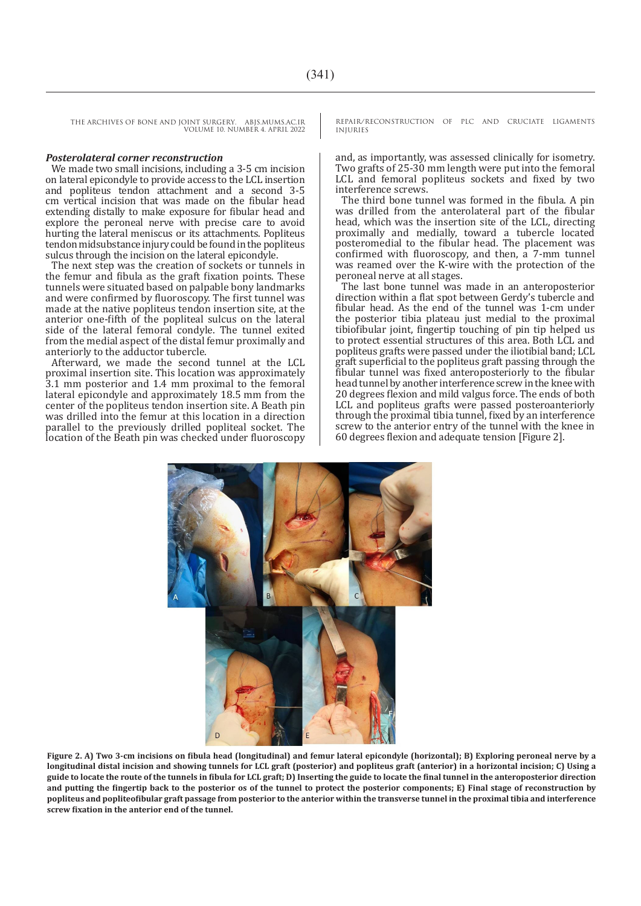#### *Posterolateral corner reconstruction*

We made two small incisions, including a 3-5 cm incision on lateral epicondyle to provide access to the LCL insertion and popliteus tendon attachment and a second 3-5 cm vertical incision that was made on the fibular head extending distally to make exposure for fibular head and explore the peroneal nerve with precise care to avoid hurting the lateral meniscus or its attachments. Popliteus tendon midsubstance injury could be found in the popliteus sulcus through the incision on the lateral epicondyle.

The next step was the creation of sockets or tunnels in the femur and fibula as the graft fixation points. These tunnels were situated based on palpable bony landmarks and were confirmed by fluoroscopy. The first tunnel was made at the native popliteus tendon insertion site, at the anterior one-fifth of the popliteal sulcus on the lateral side of the lateral femoral condyle. The tunnel exited from the medial aspect of the distal femur proximally and anteriorly to the adductor tubercle.

Afterward, we made the second tunnel at the LCL proximal insertion site. This location was approximately 3.1 mm posterior and 1.4 mm proximal to the femoral lateral epicondyle and approximately 18.5 mm from the center of the popliteus tendon insertion site. A Beath pin was drilled into the femur at this location in a direction parallel to the previously drilled popliteal socket. The location of the Beath pin was checked under fluoroscopy

REPAIR/RECONSTRUCTION OF PLC AND CRUCIATE LIGAMENTS INJURIES

and, as importantly, was assessed clinically for isometry. Two grafts of 25-30 mm length were put into the femoral LCL and femoral popliteus sockets and fixed by two interference screws.

The third bone tunnel was formed in the fibula. A pin was drilled from the anterolateral part of the fibular head, which was the insertion site of the LCL, directing proximally and medially, toward a tubercle located posteromedial to the fibular head. The placement was confirmed with fluoroscopy, and then, a 7-mm tunnel was reamed over the K-wire with the protection of the peroneal nerve at all stages.

The last bone tunnel was made in an anteroposterior direction within a flat spot between Gerdy's tubercle and fibular head. As the end of the tunnel was 1-cm under the posterior tibia plateau just medial to the proximal tibiofibular joint, fingertip touching of pin tip helped us to protect essential structures of this area. Both LCL and popliteus grafts were passed under the iliotibial band; LCL graft superficial to the popliteus graft passing through the fibular tunnel was fixed anteroposteriorly to the fibular head tunnel by another interference screw in the knee with 20 degrees flexion and mild valgus force. The ends of both LCL and popliteus grafts were passed posteroanteriorly through the proximal tibia tunnel, fixed by an interference screw to the anterior entry of the tunnel with the knee in 60 degrees flexion and adequate tension [Figure 2].



**Figure 2. A) Two 3-cm incisions on fibula head (longitudinal) and femur lateral epicondyle (horizontal); B) Exploring peroneal nerve by a longitudinal distal incision and showing tunnels for LCL graft (posterior) and popliteus graft (anterior) in a horizontal incision; C) Using a guide to locate the route of the tunnels in fibula for LCL graft; D) Inserting the guide to locate the final tunnel in the anteroposterior direction and putting the fingertip back to the posterior os of the tunnel to protect the posterior components; E) Final stage of reconstruction by popliteus and popliteofibular graft passage from posterior to the anterior within the transverse tunnel in the proximal tibia and interference screw fixation in the anterior end of the tunnel.**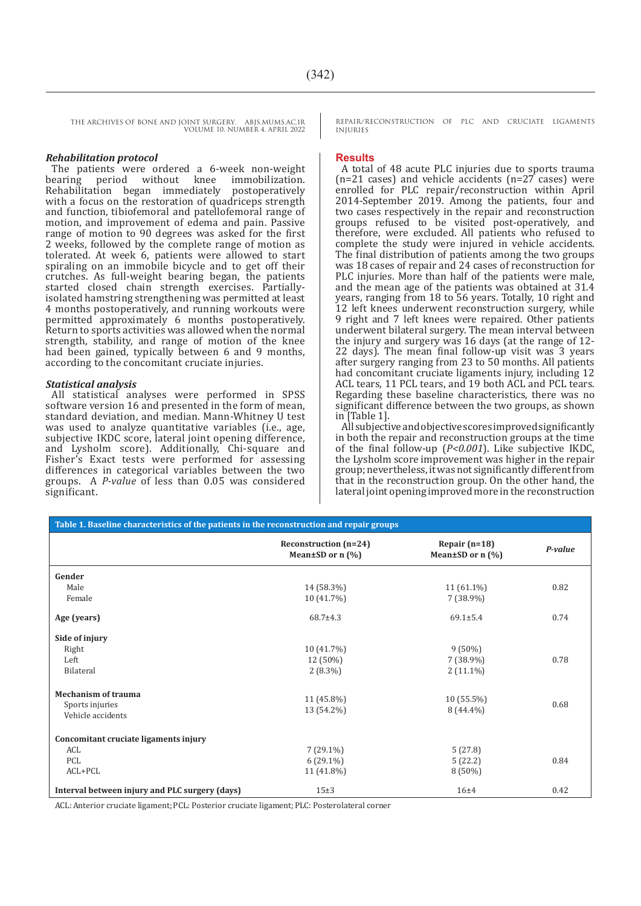#### *Rehabilitation protocol*

The patients were ordered a 6-week non-weight bearing period without knee immobilization. Rehabilitation began immediately postoperatively with a focus on the restoration of quadriceps strength and function, tibiofemoral and patellofemoral range of motion, and improvement of edema and pain. Passive range of motion to 90 degrees was asked for the first 2 weeks, followed by the complete range of motion as tolerated. At week 6, patients were allowed to start spiraling on an immobile bicycle and to get off their crutches. As full-weight bearing began, the patients started closed chain strength exercises. Partiallyisolated hamstring strengthening was permitted at least 4 months postoperatively, and running workouts were permitted approximately 6 months postoperatively. Return to sports activities was allowed when the normal strength, stability, and range of motion of the knee had been gained, typically between 6 and 9 months, according to the concomitant cruciate injuries.

#### *Statistical analysis*

All statistical analyses were performed in SPSS software version 16 and presented in the form of mean, standard deviation, and median. Mann-Whitney U test was used to analyze quantitative variables (i.e., age, subjective IKDC score, lateral joint opening difference, and Lysholm score). Additionally, Chi-square and Fisher's Exact tests were performed for assessing differences in categorical variables between the two groups. A *P-value* of less than 0.05 was considered significant.

REPAIR/RECONSTRUCTION OF PLC AND CRUCIATE LIGAMENTS INJURIES

#### **Results**

A total of 48 acute PLC injuries due to sports trauma (n=21 cases) and vehicle accidents (n=27 cases) were enrolled for PLC repair/reconstruction within April 2014-September 2019. Among the patients, four and two cases respectively in the repair and reconstruction groups refused to be visited post-operatively, and therefore, were excluded. All patients who refused to complete the study were injured in vehicle accidents. The final distribution of patients among the two groups was 18 cases of repair and 24 cases of reconstruction for PLC injuries. More than half of the patients were male, and the mean age of the patients was obtained at 31.4 years, ranging from 18 to 56 years. Totally, 10 right and 12 left knees underwent reconstruction surgery, while 9 right and 7 left knees were repaired. Other patients underwent bilateral surgery. The mean interval between the injury and surgery was 16 days (at the range of 12- 22 days). The mean final follow-up visit was 3 years after surgery ranging from 23 to 50 months. All patients had concomitant cruciate ligaments injury, including 12 ACL tears, 11 PCL tears, and 19 both ACL and PCL tears. Regarding these baseline characteristics, there was no significant difference between the two groups, as shown in [Table 1].

All subjective and objective scores improved significantly in both the repair and reconstruction groups at the time of the final follow-up (*P<0.001*). Like subjective IKDC, the Lysholm score improvement was higher in the repair group; nevertheless, it was not significantly different from that in the reconstruction group. On the other hand, the lateral joint opening improved more in the reconstruction

| Table 1. Baseline characteristics of the patients in the reconstruction and repair groups |                                                 |                                           |         |  |  |
|-------------------------------------------------------------------------------------------|-------------------------------------------------|-------------------------------------------|---------|--|--|
|                                                                                           | Reconstruction (n=24)<br>Mean $\pm$ SD or n (%) | Repair $(n=18)$<br>Mean $\pm$ SD or n (%) | P-value |  |  |
| Gender                                                                                    |                                                 |                                           |         |  |  |
| Male                                                                                      | 14 (58.3%)                                      | $11(61.1\%)$                              | 0.82    |  |  |
| Female                                                                                    | 10 (41.7%)                                      | $7(38.9\%)$                               |         |  |  |
| Age (years)                                                                               | $68.7 \pm 4.3$                                  | $69.1 \pm 5.4$                            | 0.74    |  |  |
| Side of injury                                                                            |                                                 |                                           |         |  |  |
| Right                                                                                     | 10 (41.7%)                                      | $9(50\%)$                                 |         |  |  |
| Left                                                                                      | 12 (50%)                                        | $7(38.9\%)$                               | 0.78    |  |  |
| Bilateral                                                                                 | $2(8.3\%)$                                      | $2(11.1\%)$                               |         |  |  |
| <b>Mechanism of trauma</b>                                                                |                                                 |                                           |         |  |  |
| Sports injuries                                                                           | 11 (45.8%)                                      | $10(55.5\%)$                              | 0.68    |  |  |
| Vehicle accidents                                                                         | 13 (54.2%)                                      | $8(44.4\%)$                               |         |  |  |
| Concomitant cruciate ligaments injury                                                     |                                                 |                                           |         |  |  |
| ACL                                                                                       | $7(29.1\%)$                                     | 5(27.8)                                   |         |  |  |
| <b>PCL</b>                                                                                | $6(29.1\%)$                                     | 5(22.2)                                   | 0.84    |  |  |
| ACL+PCL                                                                                   | 11 (41.8%)                                      | $8(50\%)$                                 |         |  |  |
| Interval between injury and PLC surgery (days)                                            | $15\pm3$                                        | $16 + 4$                                  | 0.42    |  |  |

ACL:Anterior cruciate ligament;PCL: Posterior cruciate ligament;PLC: Posterolateral corner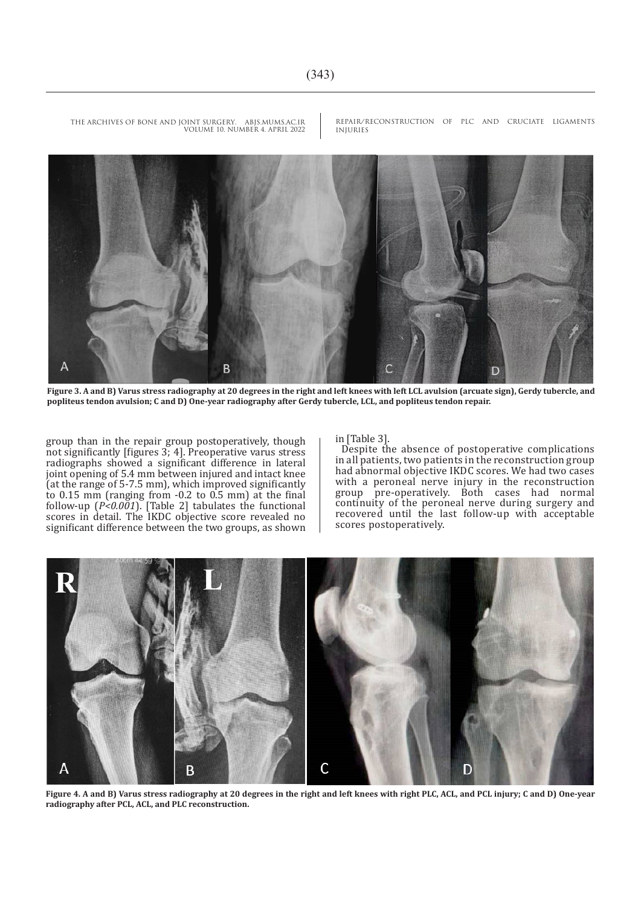A B

**Figure 3. A and B) Varus stress radiography at 20 degrees in the right and left knees with left LCL avulsion (arcuate sign), Gerdy tubercle, and popliteus tendon avulsion; C and D) One-year radiography after Gerdy tubercle, LCL, and popliteus tendon repair.**

group than in the repair group postoperatively, though not significantly [figures 3; 4]. Preoperative varus stress radiographs showed a significant difference in lateral joint opening of 5.4 mm between injured and intact knee (at the range of 5-7.5 mm), which improved significantly to 0.15 mm (ranging from -0.2 to 0.5 mm) at the final follow-up (*P<0.001*). [Table 2] tabulates the functional scores in detail. The IKDC objective score revealed no significant difference between the two groups, as shown

#### in [Table 3].

Despite the absence of postoperative complications in all patients, two patients in the reconstruction group had abnormal objective IKDC scores. We had two cases with a peroneal nerve injury in the reconstruction group pre-operatively. Both cases had normal continuity of the peroneal nerve during surgery and recovered until the last follow-up with acceptable scores postoperatively.



**Figure 4. A and B) Varus stress radiography at 20 degrees in the right and left knees with right PLC, ACL, and PCL injury; C and D) One-year radiography after PCL, ACL, and PLC reconstruction.**

REPAIR/RECONSTRUCTION OF PLC AND CRUCIATE LIGAMENTS INJURIES THE ARCHIVES OF BONE AND JOINT SURGERY. ABJS.MUMS.AC.IR VOLUME 10. NUMBER 4. APRIL 2022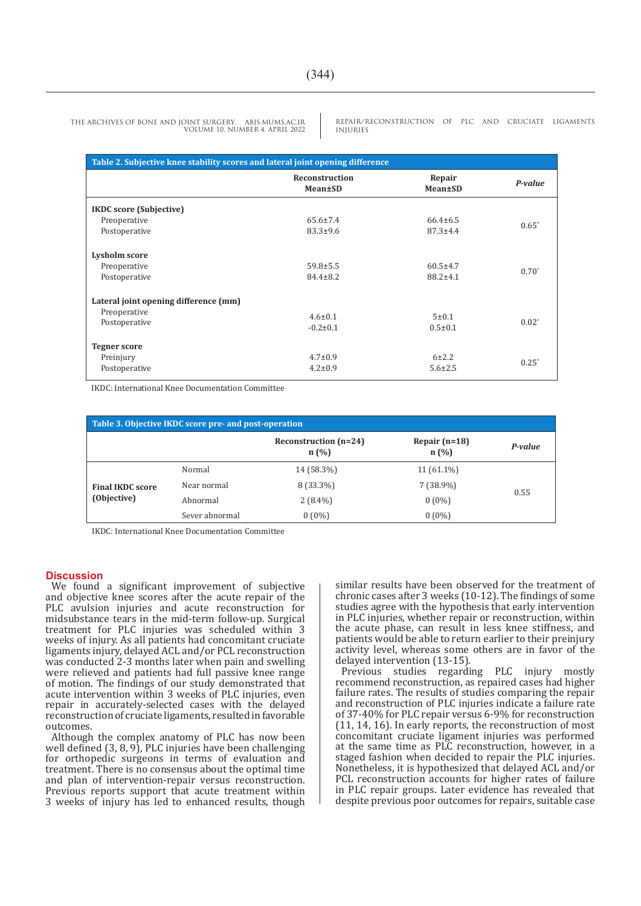REPAIR/RECONSTRUCTION OF PLC AND CRUCIATE LIGAMENTS INJURIES

| Table 2. Subjective knee stability scores and lateral joint opening difference |                           |                   |          |  |  |
|--------------------------------------------------------------------------------|---------------------------|-------------------|----------|--|--|
|                                                                                | Reconstruction<br>Mean±SD | Repair<br>Mean±SD | P-value  |  |  |
| <b>IKDC</b> score (Subjective)                                                 |                           |                   |          |  |  |
| Preoperative                                                                   | $65.6 \pm 7.4$            | $66.4 \pm 6.5$    | $0.65*$  |  |  |
| Postoperative                                                                  | $83.3+9.6$                | $87.3 + 4.4$      |          |  |  |
| Lysholm score                                                                  |                           |                   |          |  |  |
| Preoperative                                                                   | $59.8 \pm 5.5$            | $60.5 \pm 4.7$    | $0.70*$  |  |  |
| Postoperative                                                                  | $84.4 \pm 8.2$            | $88.2 \pm 4.1$    |          |  |  |
| Lateral joint opening difference (mm)                                          |                           |                   |          |  |  |
| Preoperative                                                                   | $4.6 \pm 0.1$             | 5±0.1             |          |  |  |
| Postoperative                                                                  |                           |                   | $0.02^*$ |  |  |
|                                                                                | $-0.2 \pm 0.1$            | $0.5 \pm 0.1$     |          |  |  |
| <b>Tegner score</b>                                                            |                           |                   |          |  |  |
| Preinjury                                                                      | $4.7 \pm 0.9$             | $6 + 2.2$         | $0.25^*$ |  |  |
| Postoperative                                                                  | $4.2 \pm 0.9$             | $5.6 \pm 2.5$     |          |  |  |

IKDC: International Knee Documentation Committee

| Table 3. Objective IKDC score pre- and post-operation |                |                               |                         |         |  |  |
|-------------------------------------------------------|----------------|-------------------------------|-------------------------|---------|--|--|
|                                                       |                | Reconstruction (n=24)<br>n(%) | Repair $(n=18)$<br>n(%) | P-value |  |  |
| <b>Final IKDC score</b><br>(Objective)                | Normal         | 14 (58.3%)                    | $11(61.1\%)$            | 0.55    |  |  |
|                                                       | Near normal    | 8 (33.3%)                     | $7(38.9\%)$             |         |  |  |
|                                                       | Abnormal       | $2(8.4\%)$                    | $0(0\%)$                |         |  |  |
|                                                       | Sever abnormal | $0(0\%)$                      | $0(0\%)$                |         |  |  |

IKDC: International Knee Documentation Committee

#### **Discussion**

We found a significant improvement of subjective and objective knee scores after the acute repair of the PLC avulsion injuries and acute reconstruction for midsubstance tears in the mid-term follow-up. Surgical treatment for PLC injuries was scheduled within 3 weeks of injury. As all patients had concomitant cruciate ligaments injury, delayed ACL and/or PCL reconstruction was conducted 2-3 months later when pain and swelling were relieved and patients had full passive knee range of motion. The findings of our study demonstrated that acute intervention within 3 weeks of PLC injuries, even repair in accurately-selected cases with the delayed reconstruction of cruciate ligaments, resulted in favorable outcomes.

Although the complex anatomy of PLC has now been well defined (3, 8, 9), PLC injuries have been challenging for orthopedic surgeons in terms of evaluation and treatment. There is no consensus about the optimal time and plan of intervention-repair versus reconstruction. Previous reports support that acute treatment within 3 weeks of injury has led to enhanced results, though similar results have been observed for the treatment of chronic cases after 3 weeks (10-12). The findings of some studies agree with the hypothesis that early intervention in PLC injuries, whether repair or reconstruction, within the acute phase, can result in less knee stiffness, and patients would be able to return earlier to their preinjury activity level, whereas some others are in favor of the delayed intervention (13-15).

Previous studies regarding PLC injury mostly recommend reconstruction, as repaired cases had higher failure rates. The results of studies comparing the repair and reconstruction of PLC injuries indicate a failure rate of 37-40% for PLC repair versus 6-9% for reconstruction  $(11, 14, 16)$ . In early reports, the reconstruction of most concomitant cruciate ligament injuries was performed at the same time as PLC reconstruction, however, in a staged fashion when decided to repair the PLC injuries. Nonetheless, it is hypothesized that delayed ACL and/or PCL reconstruction accounts for higher rates of failure in PLC repair groups. Later evidence has revealed that despite previous poor outcomes for repairs, suitable case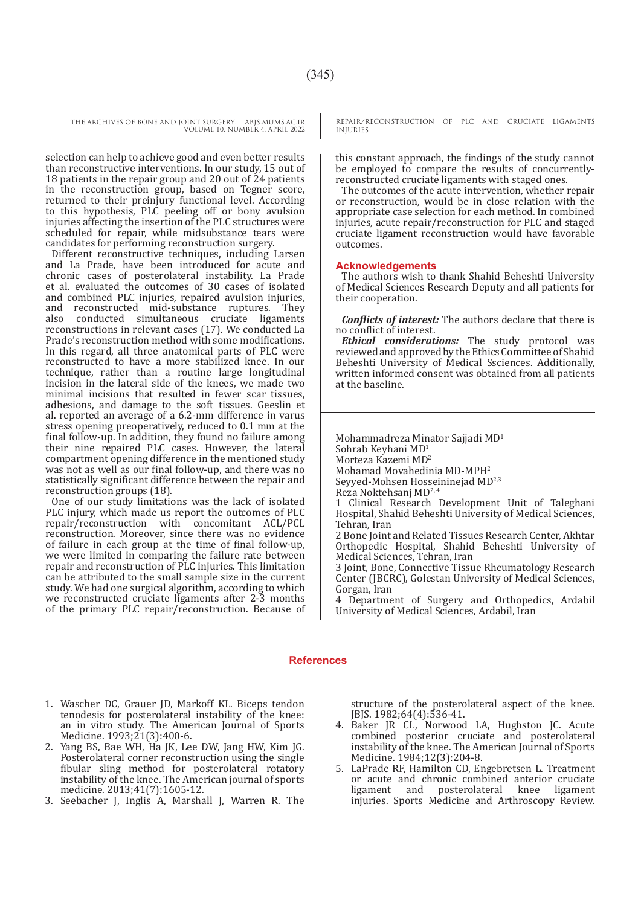selection can help to achieve good and even better results than reconstructive interventions. In our study, 15 out of 18 patients in the repair group and 20 out of 24 patients in the reconstruction group, based on Tegner score, returned to their preinjury functional level. According to this hypothesis, PLC peeling off or bony avulsion injuries affecting the insertion of the PLC structures were scheduled for repair, while midsubstance tears were candidates for performing reconstruction surgery.

Different reconstructive techniques, including Larsen and La Prade, have been introduced for acute and chronic cases of posterolateral instability. La Prade et al. evaluated the outcomes of 30 cases of isolated and combined PLC injuries, repaired avulsion injuries, and reconstructed mid-substance ruptures. They and reconstructed mid-substance ruptures. They<br>also conducted simultaneous cruciate ligaments also conducted simultaneous cruciate ligaments reconstructions in relevant cases (17). We conducted La Prade's reconstruction method with some modifications. In this regard, all three anatomical parts of PLC were reconstructed to have a more stabilized knee. In our technique, rather than a routine large longitudinal incision in the lateral side of the knees, we made two minimal incisions that resulted in fewer scar tissues, adhesions, and damage to the soft tissues. Geeslin et al. reported an average of a 6.2-mm difference in varus stress opening preoperatively, reduced to 0.1 mm at the final follow-up. In addition, they found no failure among their nine repaired PLC cases. However, the lateral compartment opening difference in the mentioned study was not as well as our final follow-up, and there was no statistically significant difference between the repair and reconstruction groups (18).

One of our study limitations was the lack of isolated PLC injury, which made us report the outcomes of PLC repair/reconstruction with concomitant ACL/PCL reconstruction. Moreover, since there was no evidence of failure in each group at the time of final follow-up, we were limited in comparing the failure rate between repair and reconstruction of PLC injuries. This limitation can be attributed to the small sample size in the current study. We had one surgical algorithm, according to which we reconstructed cruciate ligaments after 2-3 months of the primary PLC repair/reconstruction. Because of REPAIR/RECONSTRUCTION OF PLC AND CRUCIATE LIGAMENTS INJURIES

this constant approach, the findings of the study cannot be employed to compare the results of concurrentlyreconstructed cruciate ligaments with staged ones.

The outcomes of the acute intervention, whether repair or reconstruction, would be in close relation with the appropriate case selection for each method. In combined injuries, acute repair/reconstruction for PLC and staged cruciate ligament reconstruction would have favorable outcomes.

#### **Acknowledgements**

The authors wish to thank Shahid Beheshti University of Medical Sciences Research Deputy and all patients for their cooperation.

*Conflicts of interest:* The authors declare that there is no conflict of interest.

*Ethical considerations:* The study protocol was reviewed and approved by the Ethics Committee of Shahid Beheshti University of Medical Ssciences. Additionally, written informed consent was obtained from all patients at the baseline.

Mohammadreza Minator Sajjadi MD<sup>1</sup> Sohrab Keyhani MD<sup>1</sup> Morteza Kazemi MD<sup>2</sup> Mohamad Movahedinia MD-MPH2 Seyyed-Mohsen Hosseininejad MD2,3 Reza Noktehsanj MD2, 4

1 Clinical Research Development Unit of Taleghani Hospital, Shahid Beheshti University of Medical Sciences, Tehran, Iran

2 Bone Joint and Related Tissues Research Center, Akhtar Orthopedic Hospital, Shahid Beheshti University of Medical Sciences, Tehran, Iran

3 Joint, Bone, Connective Tissue Rheumatology Research Center (JBCRC), Golestan University of Medical Sciences, Gorgan, Iran

4 Department of Surgery and Orthopedics, Ardabil University of Medical Sciences, Ardabil, Iran

### **References**

- 1. Wascher DC, Grauer JD, Markoff KL. Biceps tendon tenodesis for posterolateral instability of the knee: an in vitro study. The American Journal of Sports Medicine. 1993;21(3):400-6.
- 2. Yang BS, Bae WH, Ha JK, Lee DW, Jang HW, Kim JG. Posterolateral corner reconstruction using the single fibular sling method for posterolateral rotatory instability of the knee. The American journal of sports medicine. 2013;41(7):1605-12.
- 3. Seebacher J, Inglis A, Marshall J, Warren R. The

structure of the posterolateral aspect of the knee. JBJS. 1982;64(4):536-41.

- 4. Baker JR CL, Norwood LA, Hughston JC. Acute combined posterior cruciate and posterolateral instability of the knee. The American Journal of Sports Medicine. 1984;12(3):204-8.
- 5. LaPrade RF, Hamilton CD, Engebretsen L. Treatment or acute and chronic combined anterior cruciate<br>ligament and posterolateral knee ligament ligament and posterolateral knee ligament injuries. Sports Medicine and Arthroscopy Review.